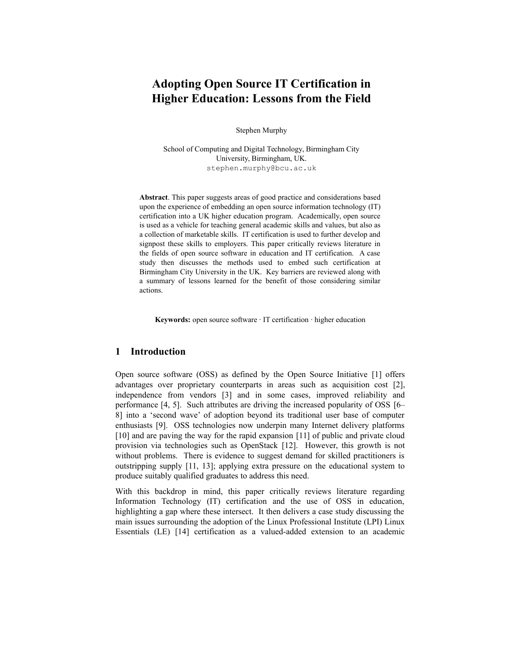# **Adopting Open Source IT Certification in Higher Education: Lessons from the Field**

Stephen Murphy

School of Computing and Digital Technology, Birmingham City University, Birmingham, UK. [stephen.murphy@bcu.ac.uk](mailto:stephen.murphy@bcu.ac.uk)

**Abstract**. This paper suggests areas of good practice and considerations based upon the experience of embedding an open source information technology (IT) certification into a UK higher education program. Academically, open source is used as a vehicle for teaching general academic skills and values, but also as a collection of marketable skills. IT certification is used to further develop and signpost these skills to employers. This paper critically reviews literature in the fields of open source software in education and IT certification. A case study then discusses the methods used to embed such certification at Birmingham City University in the UK. Key barriers are reviewed along with a summary of lessons learned for the benefit of those considering similar actions.

**Keywords:** open source software · IT certification · higher education

### **1 Introduction**

Open source software (OSS) as defined by the Open Source Initiative [1] offers advantages over proprietary counterparts in areas such as acquisition cost [2], independence from vendors [3] and in some cases, improved reliability and performance [4, 5]. Such attributes are driving the increased popularity of OSS [6– 8] into a 'second wave' of adoption beyond its traditional user base of computer enthusiasts [9]. OSS technologies now underpin many Internet delivery platforms [10] and are paving the way for the rapid expansion [11] of public and private cloud provision via technologies such as OpenStack [12]. However, this growth is not without problems. There is evidence to suggest demand for skilled practitioners is outstripping supply [11, 13]; applying extra pressure on the educational system to produce suitably qualified graduates to address this need.

With this backdrop in mind, this paper critically reviews literature regarding Information Technology (IT) certification and the use of OSS in education, highlighting a gap where these intersect. It then delivers a case study discussing the main issues surrounding the adoption of the Linux Professional Institute (LPI) Linux Essentials (LE) [14] certification as a valued-added extension to an academic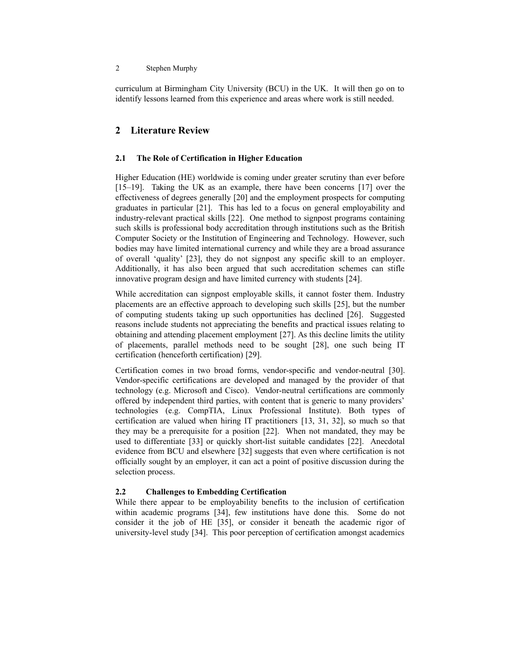#### 2 Stephen Murphy

curriculum at Birmingham City University (BCU) in the UK. It will then go on to identify lessons learned from this experience and areas where work is still needed.

## **2 Literature Review**

### **2.1 The Role of Certification in Higher Education**

Higher Education (HE) worldwide is coming under greater scrutiny than ever before [15–19]. Taking the UK as an example, there have been concerns [17] over the effectiveness of degrees generally [20] and the employment prospects for computing graduates in particular [21]. This has led to a focus on general employability and industry-relevant practical skills [22]. One method to signpost programs containing such skills is professional body accreditation through institutions such as the British Computer Society or the Institution of Engineering and Technology. However, such bodies may have limited international currency and while they are a broad assurance of overall 'quality' [23], they do not signpost any specific skill to an employer. Additionally, it has also been argued that such accreditation schemes can stifle innovative program design and have limited currency with students [24].

While accreditation can signpost employable skills, it cannot foster them. Industry placements are an effective approach to developing such skills [25], but the number of computing students taking up such opportunities has declined [26]. Suggested reasons include students not appreciating the benefits and practical issues relating to obtaining and attending placement employment [27]. As this decline limits the utility of placements, parallel methods need to be sought [28], one such being IT certification (henceforth certification) [29].

Certification comes in two broad forms, vendor-specific and vendor-neutral [30]. Vendor-specific certifications are developed and managed by the provider of that technology (e.g. Microsoft and Cisco). Vendor-neutral certifications are commonly offered by independent third parties, with content that is generic to many providers' technologies (e.g. CompTIA, Linux Professional Institute). Both types of certification are valued when hiring IT practitioners [13, 31, 32], so much so that they may be a prerequisite for a position [22]. When not mandated, they may be used to differentiate [33] or quickly short-list suitable candidates [22]. Anecdotal evidence from BCU and elsewhere [32] suggests that even where certification is not officially sought by an employer, it can act a point of positive discussion during the selection process.

## **2.2 Challenges to Embedding Certification**

While there appear to be employability benefits to the inclusion of certification within academic programs [34], few institutions have done this. Some do not consider it the job of HE [35], or consider it beneath the academic rigor of university-level study [34]. This poor perception of certification amongst academics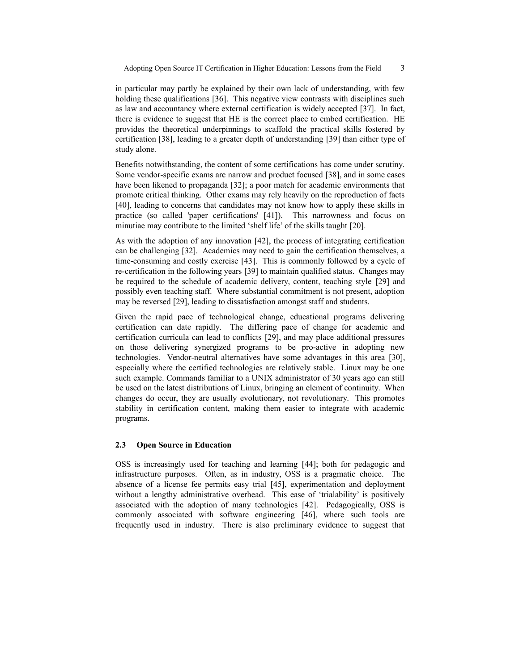in particular may partly be explained by their own lack of understanding, with few holding these qualifications [36]. This negative view contrasts with disciplines such as law and accountancy where external certification is widely accepted [37]. In fact, there is evidence to suggest that HE is the correct place to embed certification. HE provides the theoretical underpinnings to scaffold the practical skills fostered by certification [38], leading to a greater depth of understanding [39] than either type of study alone.

Benefits notwithstanding, the content of some certifications has come under scrutiny. Some vendor-specific exams are narrow and product focused [38], and in some cases have been likened to propaganda [32]; a poor match for academic environments that promote critical thinking. Other exams may rely heavily on the reproduction of facts [40], leading to concerns that candidates may not know how to apply these skills in practice (so called 'paper certifications' [41]). This narrowness and focus on minutiae may contribute to the limited 'shelf life' of the skills taught [20].

As with the adoption of any innovation [42], the process of integrating certification can be challenging [32]. Academics may need to gain the certification themselves, a time-consuming and costly exercise [43]. This is commonly followed by a cycle of re-certification in the following years [39] to maintain qualified status. Changes may be required to the schedule of academic delivery, content, teaching style [29] and possibly even teaching staff. Where substantial commitment is not present, adoption may be reversed [29], leading to dissatisfaction amongst staff and students.

Given the rapid pace of technological change, educational programs delivering certification can date rapidly. The differing pace of change for academic and certification curricula can lead to conflicts [29], and may place additional pressures on those delivering synergized programs to be pro-active in adopting new technologies. Vendor-neutral alternatives have some advantages in this area [30], especially where the certified technologies are relatively stable. Linux may be one such example. Commands familiar to a UNIX administrator of 30 years ago can still be used on the latest distributions of Linux, bringing an element of continuity. When changes do occur, they are usually evolutionary, not revolutionary. This promotes stability in certification content, making them easier to integrate with academic programs.

#### **2.3 Open Source in Education**

OSS is increasingly used for teaching and learning [44]; both for pedagogic and infrastructure purposes. Often, as in industry, OSS is a pragmatic choice. The absence of a license fee permits easy trial [45], experimentation and deployment without a lengthy administrative overhead. This ease of 'trialability' is positively associated with the adoption of many technologies [42]. Pedagogically, OSS is commonly associated with software engineering [46], where such tools are frequently used in industry. There is also preliminary evidence to suggest that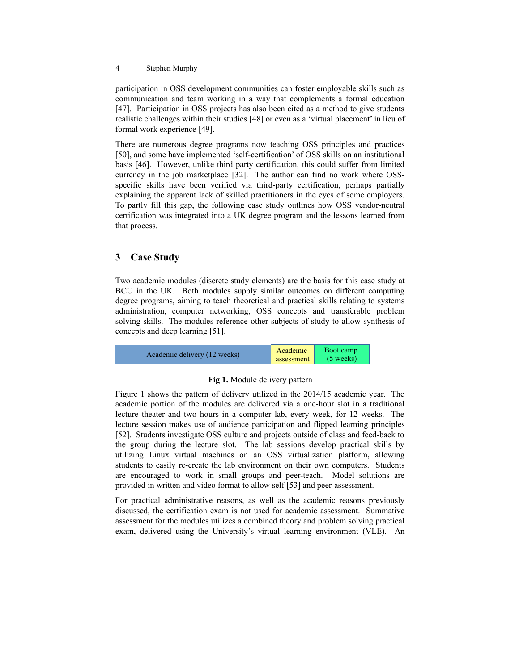participation in OSS development communities can foster employable skills such as communication and team working in a way that complements a formal education [47]. Participation in OSS projects has also been cited as a method to give students realistic challenges within their studies [48] or even as a 'virtual placement' in lieu of formal work experience [49].

There are numerous degree programs now teaching OSS principles and practices [50], and some have implemented 'self-certification' of OSS skills on an institutional basis [46]. However, unlike third party certification, this could suffer from limited currency in the job marketplace [32]. The author can find no work where OSSspecific skills have been verified via third-party certification, perhaps partially explaining the apparent lack of skilled practitioners in the eyes of some employers. To partly fill this gap, the following case study outlines how OSS vendor-neutral certification was integrated into a UK degree program and the lessons learned from that process.

## **3 Case Study**

Two academic modules (discrete study elements) are the basis for this case study at BCU in the UK. Both modules supply similar outcomes on different computing degree programs, aiming to teach theoretical and practical skills relating to systems administration, computer networking, OSS concepts and transferable problem solving skills. The modules reference other subjects of study to allow synthesis of concepts and deep learning [51].



## <span id="page-3-0"></span>**Fig 1.** Module delivery pattern

Figure [1](#page-3-0) shows the pattern of delivery utilized in the 2014/15 academic year. The academic portion of the modules are delivered via a one-hour slot in a traditional lecture theater and two hours in a computer lab, every week, for 12 weeks. The lecture session makes use of audience participation and flipped learning principles [52]. Students investigate OSS culture and projects outside of class and feed-back to the group during the lecture slot. The lab sessions develop practical skills by utilizing Linux virtual machines on an OSS virtualization platform, allowing students to easily re-create the lab environment on their own computers. Students are encouraged to work in small groups and peer-teach. Model solutions are provided in written and video format to allow self [53] and peer-assessment.

For practical administrative reasons, as well as the academic reasons previously discussed, the certification exam is not used for academic assessment. Summative assessment for the modules utilizes a combined theory and problem solving practical exam, delivered using the University's virtual learning environment (VLE). An

<sup>4</sup> Stephen Murphy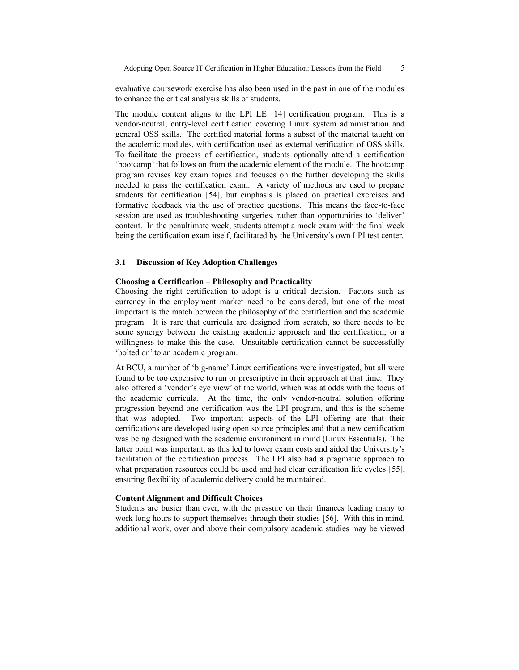Adopting Open Source IT Certification in Higher Education: Lessons from the Field 5

evaluative coursework exercise has also been used in the past in one of the modules to enhance the critical analysis skills of students.

The module content aligns to the LPI LE [14] certification program. This is a vendor-neutral, entry-level certification covering Linux system administration and general OSS skills. The certified material forms a subset of the material taught on the academic modules, with certification used as external verification of OSS skills. To facilitate the process of certification, students optionally attend a certification 'bootcamp' that follows on from the academic element of the module. The bootcamp program revises key exam topics and focuses on the further developing the skills needed to pass the certification exam. A variety of methods are used to prepare students for certification [54], but emphasis is placed on practical exercises and formative feedback via the use of practice questions. This means the face-to-face session are used as troubleshooting surgeries, rather than opportunities to 'deliver' content. In the penultimate week, students attempt a mock exam with the final week being the certification exam itself, facilitated by the University's own LPI test center.

#### **3.1 Discussion of Key Adoption Challenges**

#### **Choosing a Certification – Philosophy and Practicality**

Choosing the right certification to adopt is a critical decision. Factors such as currency in the employment market need to be considered, but one of the most important is the match between the philosophy of the certification and the academic program. It is rare that curricula are designed from scratch, so there needs to be some synergy between the existing academic approach and the certification; or a willingness to make this the case. Unsuitable certification cannot be successfully 'bolted on' to an academic program.

At BCU, a number of 'big-name' Linux certifications were investigated, but all were found to be too expensive to run or prescriptive in their approach at that time. They also offered a 'vendor's eye view' of the world, which was at odds with the focus of the academic curricula. At the time, the only vendor-neutral solution offering progression beyond one certification was the LPI program, and this is the scheme that was adopted. Two important aspects of the LPI offering are that their certifications are developed using open source principles and that a new certification was being designed with the academic environment in mind (Linux Essentials). The latter point was important, as this led to lower exam costs and aided the University's facilitation of the certification process. The LPI also had a pragmatic approach to what preparation resources could be used and had clear certification life cycles [55], ensuring flexibility of academic delivery could be maintained.

#### **Content Alignment and Difficult Choices**

Students are busier than ever, with the pressure on their finances leading many to work long hours to support themselves through their studies [56]. With this in mind, additional work, over and above their compulsory academic studies may be viewed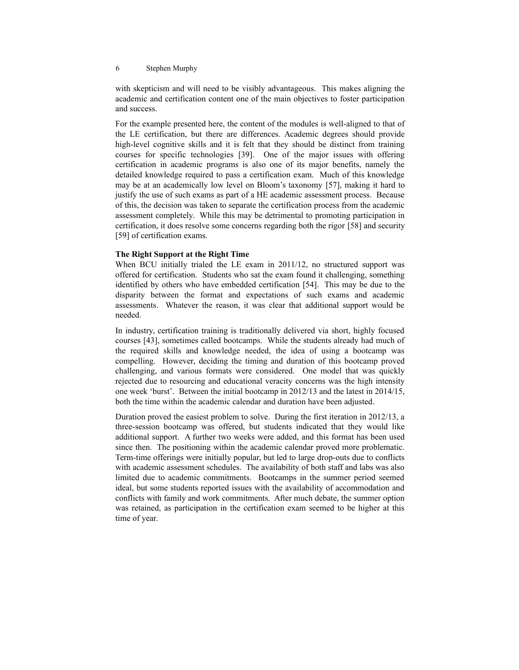with skepticism and will need to be visibly advantageous. This makes aligning the academic and certification content one of the main objectives to foster participation and success.

For the example presented here, the content of the modules is well-aligned to that of the LE certification, but there are differences. Academic degrees should provide high-level cognitive skills and it is felt that they should be distinct from training courses for specific technologies [39]. One of the major issues with offering certification in academic programs is also one of its major benefits, namely the detailed knowledge required to pass a certification exam. Much of this knowledge may be at an academically low level on Bloom's taxonomy [57], making it hard to justify the use of such exams as part of a HE academic assessment process. Because of this, the decision was taken to separate the certification process from the academic assessment completely. While this may be detrimental to promoting participation in certification, it does resolve some concerns regarding both the rigor [58] and security [59] of certification exams.

#### **The Right Support at the Right Time**

When BCU initially trialed the LE exam in 2011/12, no structured support was offered for certification. Students who sat the exam found it challenging, something identified by others who have embedded certification [54]. This may be due to the disparity between the format and expectations of such exams and academic assessments. Whatever the reason, it was clear that additional support would be needed.

In industry, certification training is traditionally delivered via short, highly focused courses [43], sometimes called bootcamps. While the students already had much of the required skills and knowledge needed, the idea of using a bootcamp was compelling. However, deciding the timing and duration of this bootcamp proved challenging, and various formats were considered. One model that was quickly rejected due to resourcing and educational veracity concerns was the high intensity one week 'burst'. Between the initial bootcamp in 2012/13 and the latest in 2014/15, both the time within the academic calendar and duration have been adjusted.

Duration proved the easiest problem to solve. During the first iteration in 2012/13, a three-session bootcamp was offered, but students indicated that they would like additional support. A further two weeks were added, and this format has been used since then. The positioning within the academic calendar proved more problematic. Term-time offerings were initially popular, but led to large drop-outs due to conflicts with academic assessment schedules. The availability of both staff and labs was also limited due to academic commitments. Bootcamps in the summer period seemed ideal, but some students reported issues with the availability of accommodation and conflicts with family and work commitments. After much debate, the summer option was retained, as participation in the certification exam seemed to be higher at this time of year.

<sup>6</sup> Stephen Murphy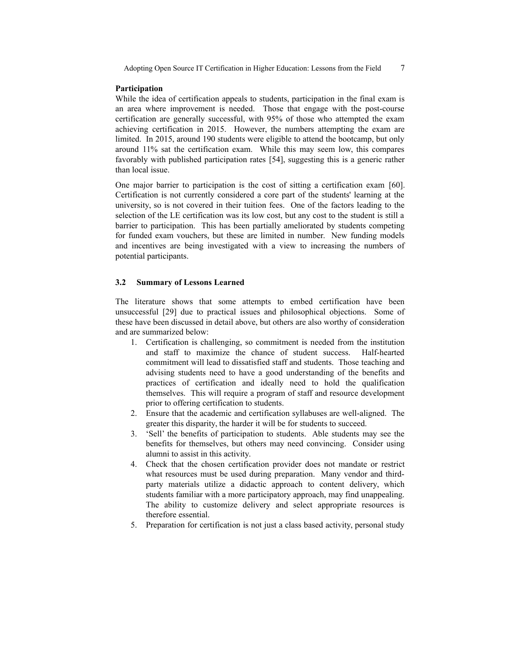#### **Participation**

While the idea of certification appeals to students, participation in the final exam is an area where improvement is needed. Those that engage with the post-course certification are generally successful, with 95% of those who attempted the exam achieving certification in 2015. However, the numbers attempting the exam are limited. In 2015, around 190 students were eligible to attend the bootcamp, but only around 11% sat the certification exam. While this may seem low, this compares favorably with published participation rates [54], suggesting this is a generic rather than local issue.

One major barrier to participation is the cost of sitting a certification exam [60]. Certification is not currently considered a core part of the students' learning at the university, so is not covered in their tuition fees. One of the factors leading to the selection of the LE certification was its low cost, but any cost to the student is still a barrier to participation. This has been partially ameliorated by students competing for funded exam vouchers, but these are limited in number. New funding models and incentives are being investigated with a view to increasing the numbers of potential participants.

#### **3.2 Summary of Lessons Learned**

The literature shows that some attempts to embed certification have been unsuccessful [29] due to practical issues and philosophical objections. Some of these have been discussed in detail above, but others are also worthy of consideration and are summarized below:

- 1. Certification is challenging, so commitment is needed from the institution and staff to maximize the chance of student success. Half-hearted commitment will lead to dissatisfied staff and students. Those teaching and advising students need to have a good understanding of the benefits and practices of certification and ideally need to hold the qualification themselves. This will require a program of staff and resource development prior to offering certification to students.
- 2. Ensure that the academic and certification syllabuses are well-aligned. The greater this disparity, the harder it will be for students to succeed.
- 3. 'Sell' the benefits of participation to students. Able students may see the benefits for themselves, but others may need convincing. Consider using alumni to assist in this activity.
- 4. Check that the chosen certification provider does not mandate or restrict what resources must be used during preparation. Many vendor and thirdparty materials utilize a didactic approach to content delivery, which students familiar with a more participatory approach, may find unappealing. The ability to customize delivery and select appropriate resources is therefore essential.
- 5. Preparation for certification is not just a class based activity, personal study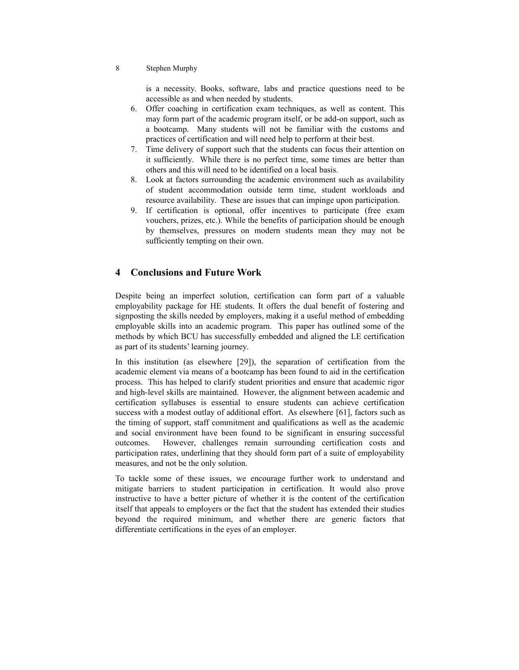#### 8 Stephen Murphy

is a necessity. Books, software, labs and practice questions need to be accessible as and when needed by students.

- 6. Offer coaching in certification exam techniques, as well as content. This may form part of the academic program itself, or be add-on support, such as a bootcamp. Many students will not be familiar with the customs and practices of certification and will need help to perform at their best.
- 7. Time delivery of support such that the students can focus their attention on it sufficiently. While there is no perfect time, some times are better than others and this will need to be identified on a local basis.
- 8. Look at factors surrounding the academic environment such as availability of student accommodation outside term time, student workloads and resource availability. These are issues that can impinge upon participation.
- 9. If certification is optional, offer incentives to participate (free exam vouchers, prizes, etc.). While the benefits of participation should be enough by themselves, pressures on modern students mean they may not be sufficiently tempting on their own.

## **4 Conclusions and Future Work**

Despite being an imperfect solution, certification can form part of a valuable employability package for HE students. It offers the dual benefit of fostering and signposting the skills needed by employers, making it a useful method of embedding employable skills into an academic program. This paper has outlined some of the methods by which BCU has successfully embedded and aligned the LE certification as part of its students' learning journey.

In this institution (as elsewhere [29]), the separation of certification from the academic element via means of a bootcamp has been found to aid in the certification process. This has helped to clarify student priorities and ensure that academic rigor and high-level skills are maintained. However, the alignment between academic and certification syllabuses is essential to ensure students can achieve certification success with a modest outlay of additional effort. As elsewhere [61], factors such as the timing of support, staff commitment and qualifications as well as the academic and social environment have been found to be significant in ensuring successful outcomes. However, challenges remain surrounding certification costs and participation rates, underlining that they should form part of a suite of employability measures, and not be the only solution.

To tackle some of these issues, we encourage further work to understand and mitigate barriers to student participation in certification. It would also prove instructive to have a better picture of whether it is the content of the certification itself that appeals to employers or the fact that the student has extended their studies beyond the required minimum, and whether there are generic factors that differentiate certifications in the eyes of an employer.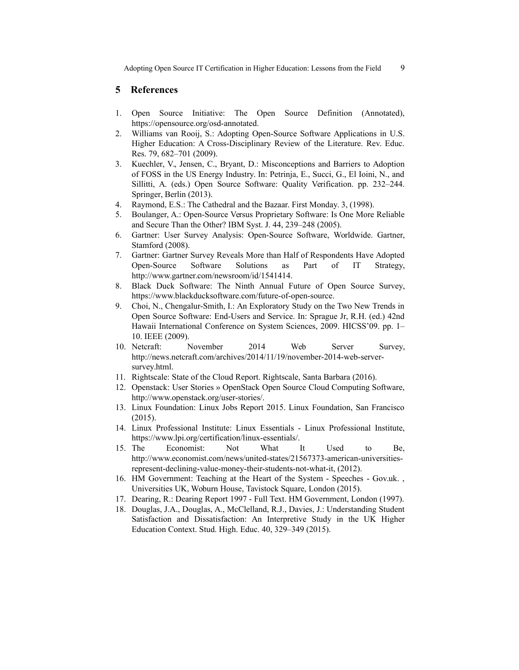Adopting Open Source IT Certification in Higher Education: Lessons from the Field 9

### **5 References**

- 1. Open Source Initiative: The Open Source Definition (Annotated), https://opensource.org/osd-annotated.
- 2. Williams van Rooij, S.: Adopting Open-Source Software Applications in U.S. Higher Education: A Cross-Disciplinary Review of the Literature. Rev. Educ. Res. 79, 682–701 (2009).
- 3. Kuechler, V., Jensen, C., Bryant, D.: Misconceptions and Barriers to Adoption of FOSS in the US Energy Industry. In: Petrinja, E., Succi, G., El Ioini, N., and Sillitti, A. (eds.) Open Source Software: Quality Verification. pp. 232–244. Springer, Berlin (2013).
- 4. Raymond, E.S.: The Cathedral and the Bazaar. First Monday. 3, (1998).
- 5. Boulanger, A.: Open-Source Versus Proprietary Software: Is One More Reliable and Secure Than the Other? IBM Syst. J. 44, 239–248 (2005).
- 6. Gartner: User Survey Analysis: Open-Source Software, Worldwide. Gartner, Stamford (2008).
- 7. Gartner: Gartner Survey Reveals More than Half of Respondents Have Adopted Open-Source Software Solutions as Part of IT Strategy, http://www.gartner.com/newsroom/id/1541414.
- 8. Black Duck Software: The Ninth Annual Future of Open Source Survey, https://www.blackducksoftware.com/future-of-open-source.
- 9. Choi, N., Chengalur-Smith, I.: An Exploratory Study on the Two New Trends in Open Source Software: End-Users and Service. In: Sprague Jr, R.H. (ed.) 42nd Hawaii International Conference on System Sciences, 2009. HICSS'09. pp. 1– 10. IEEE (2009).
- 10. Netcraft: November 2014 Web Server Survey, http://news.netcraft.com/archives/2014/11/19/november-2014-web-serversurvey.html.
- 11. Rightscale: State of the Cloud Report. Rightscale, Santa Barbara (2016).
- 12. Openstack: User Stories » OpenStack Open Source Cloud Computing Software, http://www.openstack.org/user-stories/.
- 13. Linux Foundation: Linux Jobs Report 2015. Linux Foundation, San Francisco (2015).
- 14. Linux Professional Institute: Linux Essentials Linux Professional Institute, https://www.lpi.org/certification/linux-essentials/.
- 15. The Economist: Not What It Used to Be, http://www.economist.com/news/united-states/21567373-american-universitiesrepresent-declining-value-money-their-students-not-what-it, (2012).
- 16. HM Government: Teaching at the Heart of the System Speeches Gov.uk. , Universities UK, Woburn House, Tavistock Square, London (2015).
- 17. Dearing, R.: Dearing Report 1997 Full Text. HM Government, London (1997).
- 18. Douglas, J.A., Douglas, A., McClelland, R.J., Davies, J.: Understanding Student Satisfaction and Dissatisfaction: An Interpretive Study in the UK Higher Education Context. Stud. High. Educ. 40, 329–349 (2015).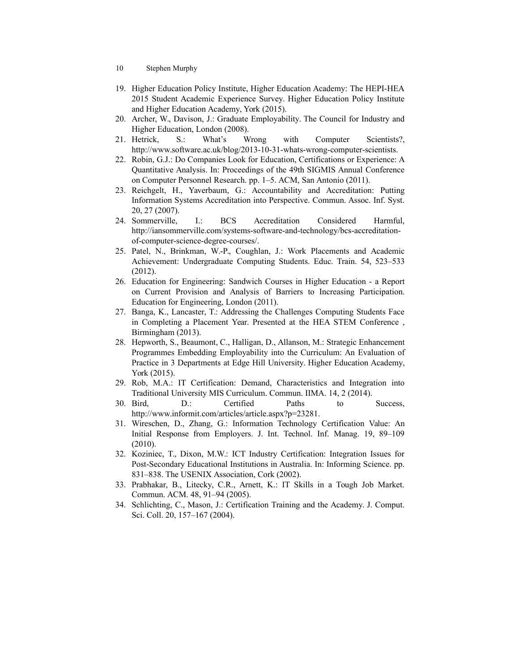- 10 Stephen Murphy
- 19. Higher Education Policy Institute, Higher Education Academy: The HEPI-HEA 2015 Student Academic Experience Survey. Higher Education Policy Institute and Higher Education Academy, York (2015).
- 20. Archer, W., Davison, J.: Graduate Employability. The Council for Industry and Higher Education, London (2008).
- 21. Hetrick, S.: What's Wrong with Computer Scientists?, http://www.software.ac.uk/blog/2013-10-31-whats-wrong-computer-scientists.
- 22. Robin, G.J.: Do Companies Look for Education, Certifications or Experience: A Quantitative Analysis. In: Proceedings of the 49th SIGMIS Annual Conference on Computer Personnel Research. pp. 1–5. ACM, San Antonio (2011).
- 23. Reichgelt, H., Yaverbaum, G.: Accountability and Accreditation: Putting Information Systems Accreditation into Perspective. Commun. Assoc. Inf. Syst. 20, 27 (2007).
- 24. Sommerville, I.: BCS Accreditation Considered Harmful, http://iansommerville.com/systems-software-and-technology/bcs-accreditationof-computer-science-degree-courses/.
- 25. Patel, N., Brinkman, W.-P., Coughlan, J.: Work Placements and Academic Achievement: Undergraduate Computing Students. Educ. Train. 54, 523–533 (2012).
- 26. Education for Engineering: Sandwich Courses in Higher Education a Report on Current Provision and Analysis of Barriers to Increasing Participation. Education for Engineering, London (2011).
- 27. Banga, K., Lancaster, T.: Addressing the Challenges Computing Students Face in Completing a Placement Year. Presented at the HEA STEM Conference , Birmingham (2013).
- 28. Hepworth, S., Beaumont, C., Halligan, D., Allanson, M.: Strategic Enhancement Programmes Embedding Employability into the Curriculum: An Evaluation of Practice in 3 Departments at Edge Hill University. Higher Education Academy, York (2015).
- 29. Rob, M.A.: IT Certification: Demand, Characteristics and Integration into Traditional University MIS Curriculum. Commun. IIMA. 14, 2 (2014).
- 30. Bird, D.: Certified Paths to Success, http://www.informit.com/articles/article.aspx?p=23281.
- 31. Wireschen, D., Zhang, G.: Information Technology Certification Value: An Initial Response from Employers. J. Int. Technol. Inf. Manag. 19, 89–109 (2010).
- 32. Koziniec, T., Dixon, M.W.: ICT Industry Certification: Integration Issues for Post-Secondary Educational Institutions in Australia. In: Informing Science. pp. 831–838. The USENIX Association, Cork (2002).
- 33. Prabhakar, B., Litecky, C.R., Arnett, K.: IT Skills in a Tough Job Market. Commun. ACM. 48, 91–94 (2005).
- 34. Schlichting, C., Mason, J.: Certification Training and the Academy. J. Comput. Sci. Coll. 20, 157–167 (2004).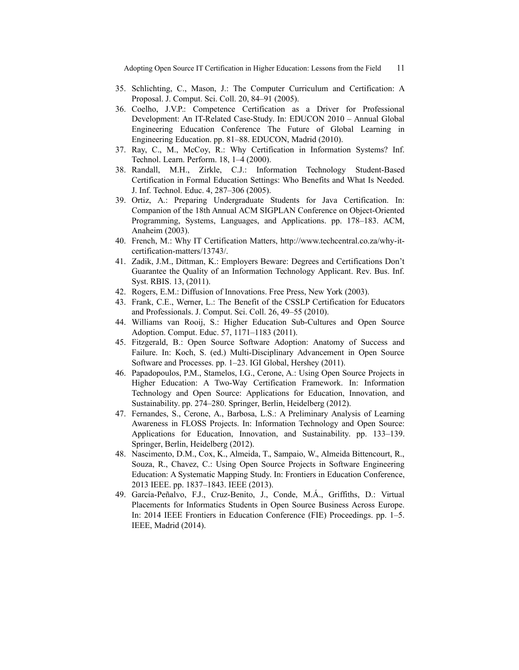Adopting Open Source IT Certification in Higher Education: Lessons from the Field 11

- 35. Schlichting, C., Mason, J.: The Computer Curriculum and Certification: A Proposal. J. Comput. Sci. Coll. 20, 84–91 (2005).
- 36. Coelho, J.V.P.: Competence Certification as a Driver for Professional Development: An IT-Related Case-Study. In: EDUCON 2010 – Annual Global Engineering Education Conference The Future of Global Learning in Engineering Education. pp. 81–88. EDUCON, Madrid (2010).
- 37. Ray, C., M., McCoy, R.: Why Certification in Information Systems? Inf. Technol. Learn. Perform. 18, 1–4 (2000).
- 38. Randall, M.H., Zirkle, C.J.: Information Technology Student-Based Certification in Formal Education Settings: Who Benefits and What Is Needed. J. Inf. Technol. Educ. 4, 287–306 (2005).
- 39. Ortiz, A.: Preparing Undergraduate Students for Java Certification. In: Companion of the 18th Annual ACM SIGPLAN Conference on Object-Oriented Programming, Systems, Languages, and Applications. pp. 178–183. ACM, Anaheim (2003).
- 40. French, M.: Why IT Certification Matters, http://www.techcentral.co.za/why-itcertification-matters/13743/.
- 41. Zadik, J.M., Dittman, K.: Employers Beware: Degrees and Certifications Don't Guarantee the Quality of an Information Technology Applicant. Rev. Bus. Inf. Syst. RBIS. 13, (2011).
- 42. Rogers, E.M.: Diffusion of Innovations. Free Press, New York (2003).
- 43. Frank, C.E., Werner, L.: The Benefit of the CSSLP Certification for Educators and Professionals. J. Comput. Sci. Coll. 26, 49–55 (2010).
- 44. Williams van Rooij, S.: Higher Education Sub-Cultures and Open Source Adoption. Comput. Educ. 57, 1171–1183 (2011).
- 45. Fitzgerald, B.: Open Source Software Adoption: Anatomy of Success and Failure. In: Koch, S. (ed.) Multi-Disciplinary Advancement in Open Source Software and Processes. pp. 1–23. IGI Global, Hershey (2011).
- 46. Papadopoulos, P.M., Stamelos, I.G., Cerone, A.: Using Open Source Projects in Higher Education: A Two-Way Certification Framework. In: Information Technology and Open Source: Applications for Education, Innovation, and Sustainability. pp. 274–280. Springer, Berlin, Heidelberg (2012).
- 47. Fernandes, S., Cerone, A., Barbosa, L.S.: A Preliminary Analysis of Learning Awareness in FLOSS Projects. In: Information Technology and Open Source: Applications for Education, Innovation, and Sustainability. pp. 133–139. Springer, Berlin, Heidelberg (2012).
- 48. Nascimento, D.M., Cox, K., Almeida, T., Sampaio, W., Almeida Bittencourt, R., Souza, R., Chavez, C.: Using Open Source Projects in Software Engineering Education: A Systematic Mapping Study. In: Frontiers in Education Conference, 2013 IEEE. pp. 1837–1843. IEEE (2013).
- 49. García-Peñalvo, F.J., Cruz-Benito, J., Conde, M.Á., Griffiths, D.: Virtual Placements for Informatics Students in Open Source Business Across Europe. In: 2014 IEEE Frontiers in Education Conference (FIE) Proceedings. pp. 1–5. IEEE, Madrid (2014).